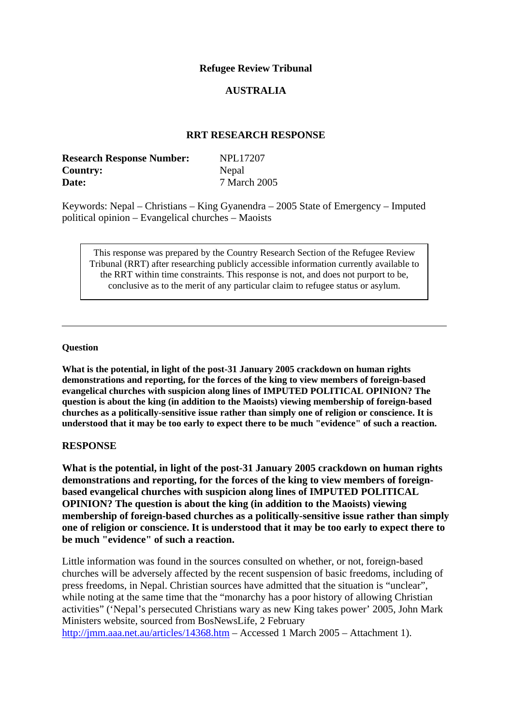## **Refugee Review Tribunal**

## **AUSTRALIA**

## **RRT RESEARCH RESPONSE**

| <b>Research Response Number:</b> | <b>NPL17207</b> |
|----------------------------------|-----------------|
| <b>Country:</b>                  | Nepal           |
| Date:                            | 7 March 2005    |

Keywords: Nepal – Christians – King Gyanendra – 2005 State of Emergency – Imputed political opinion – Evangelical churches – Maoists

This response was prepared by the Country Research Section of the Refugee Review Tribunal (RRT) after researching publicly accessible information currently available to the RRT within time constraints. This response is not, and does not purport to be, conclusive as to the merit of any particular claim to refugee status or asylum.

#### **Question**

**What is the potential, in light of the post-31 January 2005 crackdown on human rights demonstrations and reporting, for the forces of the king to view members of foreign-based evangelical churches with suspicion along lines of IMPUTED POLITICAL OPINION? The question is about the king (in addition to the Maoists) viewing membership of foreign-based churches as a politically-sensitive issue rather than simply one of religion or conscience. It is understood that it may be too early to expect there to be much "evidence" of such a reaction.** 

### **RESPONSE**

**What is the potential, in light of the post-31 January 2005 crackdown on human rights demonstrations and reporting, for the forces of the king to view members of foreignbased evangelical churches with suspicion along lines of IMPUTED POLITICAL OPINION? The question is about the king (in addition to the Maoists) viewing membership of foreign-based churches as a politically-sensitive issue rather than simply one of religion or conscience. It is understood that it may be too early to expect there to be much "evidence" of such a reaction.** 

Little information was found in the sources consulted on whether, or not, foreign-based churches will be adversely affected by the recent suspension of basic freedoms, including of press freedoms, in Nepal. Christian sources have admitted that the situation is "unclear", while noting at the same time that the "monarchy has a poor history of allowing Christian activities" ('Nepal's persecuted Christians wary as new King takes power' 2005, John Mark Ministers website, sourced from BosNewsLife, 2 February <http://jmm.aaa.net.au/articles/14368.htm>– Accessed 1 March 2005 – Attachment 1).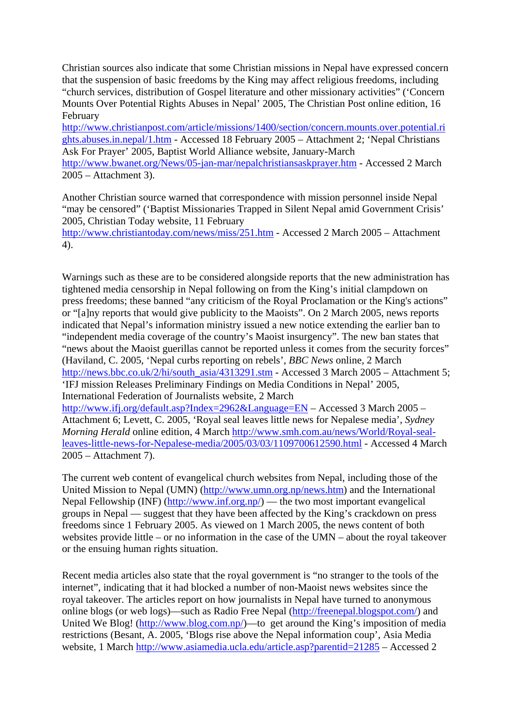Christian sources also indicate that some Christian missions in Nepal have expressed concern that the suspension of basic freedoms by the King may affect religious freedoms, including "church services, distribution of Gospel literature and other missionary activities" ('Concern Mounts Over Potential Rights Abuses in Nepal' 2005, The Christian Post online edition, 16 February

[http://www.christianpost.com/article/missions/1400/section/concern.mounts.over.potential.ri](http://www.christianpost.com/article/missions/1400/section/concern.mounts.over.potential.rights.abuses.in.nepal/1.htm) [ghts.abuses.in.nepal/1.htm](http://www.christianpost.com/article/missions/1400/section/concern.mounts.over.potential.rights.abuses.in.nepal/1.htm) - Accessed 18 February 2005 – Attachment 2; 'Nepal Christians Ask For Prayer' 2005, Baptist World Alliance website, January-March <http://www.bwanet.org/News/05-jan-mar/nepalchristiansaskprayer.htm> - Accessed 2 March 2005 – Attachment 3).

Another Christian source warned that correspondence with mission personnel inside Nepal "may be censored" ('Baptist Missionaries Trapped in Silent Nepal amid Government Crisis' 2005, Christian Today website, 11 February

<http://www.christiantoday.com/news/miss/251.htm>- Accessed 2 March 2005 – Attachment 4).

Warnings such as these are to be considered alongside reports that the new administration has tightened media censorship in Nepal following on from the King's initial clampdown on press freedoms; these banned "any criticism of the Royal Proclamation or the King's actions" or "[a]ny reports that would give publicity to the Maoists". On 2 March 2005, news reports indicated that Nepal's information ministry issued a new notice extending the earlier ban to "independent media coverage of the country's Maoist insurgency". The new ban states that "news about the Maoist guerillas cannot be reported unless it comes from the security forces" (Haviland, C. 2005, 'Nepal curbs reporting on rebels', *BBC News* online, 2 March [http://news.bbc.co.uk/2/hi/south\\_asia/4313291.stm](http://news.bbc.co.uk/2/hi/south_asia/4313291.stm) - Accessed 3 March 2005 – Attachment 5; 'IFJ mission Releases Preliminary Findings on Media Conditions in Nepal' 2005, International Federation of Journalists website, 2 March <http://www.ifj.org/default.asp?Index=2962&Language=EN>– Accessed 3 March 2005 – Attachment 6; Levett, C. 2005, 'Royal seal leaves little news for Nepalese media', *Sydney Morning Herald* online edition, 4 March [http://www.smh.com.au/news/World/Royal-seal](http://www.smh.com.au/news/World/Royal-seal-leaves-little-news-for-Nepalese-media/2005/03/03/1109700612590.html)[leaves-little-news-for-Nepalese-media/2005/03/03/1109700612590.html](http://www.smh.com.au/news/World/Royal-seal-leaves-little-news-for-Nepalese-media/2005/03/03/1109700612590.html) - Accessed 4 March 2005 – Attachment 7).

The current web content of evangelical church websites from Nepal, including those of the United Mission to Nepal (UMN) [\(http://www.umn.org.np/news.htm\)](http://www.umn.org.np/news.htm) and the International Nepal Fellowship (INF) [\(http://www.inf.org.np/\)](http://www.inf.org.np/) — the two most important evangelical groups in Nepal — suggest that they have been affected by the King's crackdown on press freedoms since 1 February 2005. As viewed on 1 March 2005, the news content of both websites provide little – or no information in the case of the UMN – about the royal takeover or the ensuing human rights situation.

Recent media articles also state that the royal government is "no stranger to the tools of the internet", indicating that it had blocked a number of non-Maoist news websites since the royal takeover. The articles report on how journalists in Nepal have turned to anonymous online blogs (or web logs)—such as Radio Free Nepal (<http://freenepal.blogspot.com/>) and United We Blog! ([http://www.blog.com.np/\)](http://www.blog.com.np/)—to get around the King's imposition of media restrictions (Besant, A. 2005, 'Blogs rise above the Nepal information coup', Asia Media website, 1 March<http://www.asiamedia.ucla.edu/article.asp?parentid=21285>– Accessed 2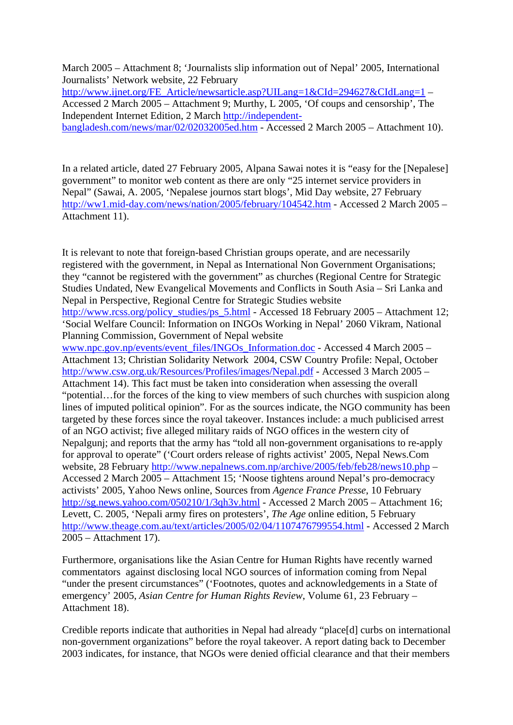March 2005 – Attachment 8; 'Journalists slip information out of Nepal' 2005, International Journalists' Network website, 22 February

http://www<u>.ijnet.org/FE\_Article/newsarticle.asp?UILang=1&CId=294627&CIdLang=1</u> – Accessed 2 March 2005 – Attachment 9; Murthy, L 2005, 'Of coups and censorship', The Independent Internet Edition, 2 March [http://independent](http://independent-bangladesh.com/news/mar/02/02032005ed.htm)[bangladesh.com/news/mar/02/02032005ed.htm](http://independent-bangladesh.com/news/mar/02/02032005ed.htm) - Accessed 2 March 2005 – Attachment 10).

In a related article, dated 27 February 2005, Alpana Sawai notes it is "easy for the [Nepalese] government" to monitor web content as there are only "25 internet service providers in Nepal" (Sawai, A. 2005, 'Nepalese journos start blogs', Mid Day website, 27 February <http://ww1.mid-day.com/news/nation/2005/february/104542.htm> - Accessed 2 March 2005 – Attachment 11).

It is relevant to note that foreign-based Christian groups operate, and are necessarily registered with the government, in Nepal as International Non Government Organisations; they "cannot be registered with the government" as churches (Regional Centre for Strategic Studies Undated, New Evangelical Movements and Conflicts in South Asia – Sri Lanka and Nepal in Perspective, Regional Centre for Strategic Studies website [http://www.rcss.org/policy\\_studies/ps\\_5.html](http://www.rcss.org/policy_studies/ps_5.html) - Accessed 18 February 2005 – Attachment 12; 'Social Welfare Council: Information on INGOs Working in Nepal' 2060 Vikram, National Planning Commission, Government of Nepal website [www.npc.gov.np/events/event\\_files/INGOs\\_Information.doc](http://www.npc.gov.np/events/event_files/INGOs_Information.doc) - Accessed 4 March 2005 – Attachment 13; Christian Solidarity Network 2004, CSW Country Profile: Nepal, October <http://www.csw.org.uk/Resources/Profiles/images/Nepal.pdf>- Accessed 3 March 2005 – Attachment 14). This fact must be taken into consideration when assessing the overall "potential…for the forces of the king to view members of such churches with suspicion along lines of imputed political opinion". For as the sources indicate, the NGO community has been targeted by these forces since the royal takeover. Instances include: a much publicised arrest of an NGO activist; five alleged military raids of NGO offices in the western city of Nepalgunj; and reports that the army has "told all non-government organisations to re-apply for approval to operate" ('Court orders release of rights activist' 2005, Nepal News.Com website, 28 February<http://www.nepalnews.com.np/archive/2005/feb/feb28/news10.php> – Accessed 2 March 2005 – Attachment 15; 'Noose tightens around Nepal's pro-democracy activists' 2005, Yahoo News online, Sources from *Agence France Presse*, 10 February <http://sg.news.yahoo.com/050210/1/3qh3v.html>- Accessed 2 March 2005 – Attachment 16; Levett, C. 2005, 'Nepali army fires on protesters', *The Age* online edition, 5 February <http://www.theage.com.au/text/articles/2005/02/04/1107476799554.html>- Accessed 2 March 2005 – Attachment 17).

Furthermore, organisations like the Asian Centre for Human Rights have recently warned commentators against disclosing local NGO sources of information coming from Nepal "under the present circumstances" ('Footnotes, quotes and acknowledgements in a State of emergency' 2005, *Asian Centre for Human Rights Review*, Volume 61, 23 February – Attachment 18).

Credible reports indicate that authorities in Nepal had already "place[d] curbs on international non-government organizations" before the royal takeover. A report dating back to December 2003 indicates, for instance, that NGOs were denied official clearance and that their members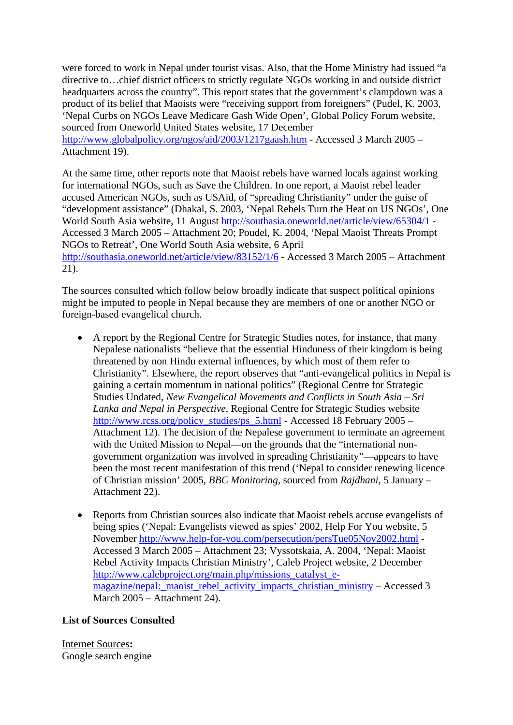were forced to work in Nepal under tourist visas. Also, that the Home Ministry had issued "a directive to…chief district officers to strictly regulate NGOs working in and outside district headquarters across the country". This report states that the government's clampdown was a product of its belief that Maoists were "receiving support from foreigners" (Pudel, K. 2003, 'Nepal Curbs on NGOs Leave Medicare Gash Wide Open', Global Policy Forum website, sourced from Oneworld United States website, 17 December <http://www.globalpolicy.org/ngos/aid/2003/1217gaash.htm> - Accessed 3 March 2005 – Attachment 19).

At the same time, other reports note that Maoist rebels have warned locals against working for international NGOs, such as Save the Children. In one report, a Maoist rebel leader accused American NGOs, such as USAid, of "spreading Christianity" under the guise of "development assistance" (Dhakal, S. 2003, 'Nepal Rebels Turn the Heat on US NGOs', One World South Asia website, 11 August<http://southasia.oneworld.net/article/view/65304/1> - Accessed 3 March 2005 – Attachment 20; Poudel, K. 2004, 'Nepal Maoist Threats Prompt NGOs to Retreat', One World South Asia website, 6 April <http://southasia.oneworld.net/article/view/83152/1/6> - Accessed 3 March 2005 – Attachment 21).

The sources consulted which follow below broadly indicate that suspect political opinions might be imputed to people in Nepal because they are members of one or another NGO or foreign-based evangelical church.

- A report by the Regional Centre for Strategic Studies notes, for instance, that many Nepalese nationalists "believe that the essential Hinduness of their kingdom is being threatened by non Hindu external influences, by which most of them refer to Christianity". Elsewhere, the report observes that "anti-evangelical politics in Nepal is gaining a certain momentum in national politics" (Regional Centre for Strategic Studies Undated, *New Evangelical Movements and Conflicts in South Asia – Sri Lanka and Nepal in Perspective*, Regional Centre for Strategic Studies website [http://www.rcss.org/policy\\_studies/ps\\_5.html](http://www.rcss.org/policy_studies/ps_5.html) - Accessed 18 February 2005 – Attachment 12). The decision of the Nepalese government to terminate an agreement with the United Mission to Nepal—on the grounds that the "international nongovernment organization was involved in spreading Christianity"—appears to have been the most recent manifestation of this trend ('Nepal to consider renewing licence of Christian mission' 2005, *BBC Monitoring*, sourced from *Rajdhani*, 5 January – Attachment 22).
- Reports from Christian sources also indicate that Maoist rebels accuse evangelists of being spies ('Nepal: Evangelists viewed as spies' 2002, Help For You website, 5 November <http://www.help-for-you.com/persecution/persTue05Nov2002.html>- Accessed 3 March 2005 – Attachment 23; Vyssotskaia, A. 2004, 'Nepal: Maoist Rebel Activity Impacts Christian Ministry', Caleb Project website, 2 December [http://www.calebproject.org/main.php/missions\\_catalyst\\_e](http://www.calebproject.org/main.php/missions_catalyst_e-magazine/nepal:_maoist_rebel_activity_impacts_christian_ministry)magazine/nepal: maoist\_rebel\_activity\_impacts\_christian\_ministry – Accessed 3 March 2005 – Attachment 24).

# **List of Sources Consulted**

Internet Sources**:**  Google search engine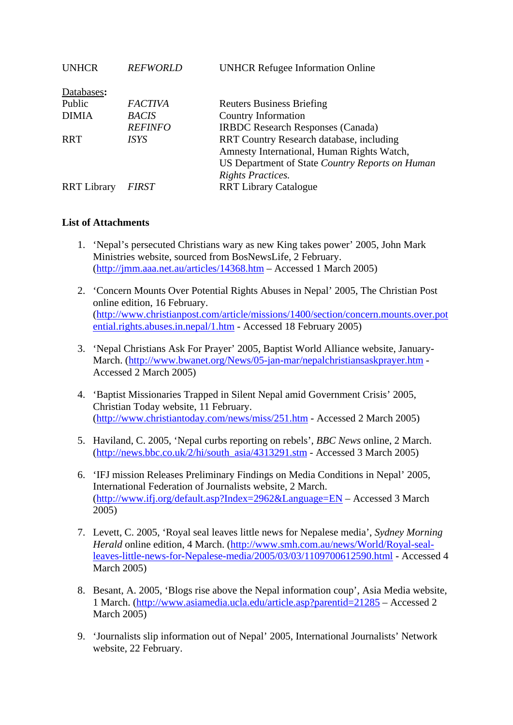| <b>REFWORLD</b> | <b>UNHCR Refugee Information Online</b>         |
|-----------------|-------------------------------------------------|
|                 |                                                 |
| <b>FACTIVA</b>  | <b>Reuters Business Briefing</b>                |
| <b>BACIS</b>    | <b>Country Information</b>                      |
| <b>REFINFO</b>  | <b>IRBDC</b> Research Responses (Canada)        |
| ISYS            | RRT Country Research database, including        |
|                 | Amnesty International, Human Rights Watch,      |
|                 | US Department of State Country Reports on Human |
|                 | <b>Rights Practices.</b>                        |
| FIRST           | <b>RRT Library Catalogue</b>                    |
|                 |                                                 |

## **List of Attachments**

- 1. 'Nepal's persecuted Christians wary as new King takes power' 2005, John Mark Ministries website, sourced from BosNewsLife, 2 February. (<http://jmm.aaa.net.au/articles/14368.htm>– Accessed 1 March 2005)
- 2. 'Concern Mounts Over Potential Rights Abuses in Nepal' 2005, The Christian Post online edition, 16 February. ([http://www.christianpost.com/article/missions/1400/section/concern.mounts.over.pot](http://www.christianpost.com/article/missions/1400/section/concern.mounts.over.potential.rights.abuses.in.nepal/1.htm) [ential.rights.abuses.in.nepal/1.htm](http://www.christianpost.com/article/missions/1400/section/concern.mounts.over.potential.rights.abuses.in.nepal/1.htm) - Accessed 18 February 2005)
- 3. 'Nepal Christians Ask For Prayer' 2005, Baptist World Alliance website, January-March. [\(http://www.bwanet.org/News/05-jan-mar/nepalchristiansaskprayer.htm](http://www.bwanet.org/News/05-jan-mar/nepalchristiansaskprayer.htm) - Accessed 2 March 2005)
- 4. 'Baptist Missionaries Trapped in Silent Nepal amid Government Crisis' 2005, Christian Today website, 11 February. (<http://www.christiantoday.com/news/miss/251.htm>- Accessed 2 March 2005)
- 5. Haviland, C. 2005, 'Nepal curbs reporting on rebels', *BBC News* online, 2 March. ([http://news.bbc.co.uk/2/hi/south\\_asia/4313291.stm](http://news.bbc.co.uk/2/hi/south_asia/4313291.stm) - Accessed 3 March 2005)
- 6. 'IFJ mission Releases Preliminary Findings on Media Conditions in Nepal' 2005, International Federation of Journalists website, 2 March. (<http://www.ifj.org/default.asp?Index=2962&Language=EN>– Accessed 3 March 2005)
- 7. Levett, C. 2005, 'Royal seal leaves little news for Nepalese media', *Sydney Morning Herald* online edition, 4 March. ([http://www.smh.com.au/news/World/Royal-seal](http://www.smh.com.au/news/World/Royal-seal-leaves-little-news-for-Nepalese-media/2005/03/03/1109700612590.html)[leaves-little-news-for-Nepalese-media/2005/03/03/1109700612590.html](http://www.smh.com.au/news/World/Royal-seal-leaves-little-news-for-Nepalese-media/2005/03/03/1109700612590.html) - Accessed 4 March 2005)
- 8. Besant, A. 2005, 'Blogs rise above the Nepal information coup', Asia Media website, 1 March. [\(http://www.asiamedia.ucla.edu/article.asp?parentid=21285](http://www.asiamedia.ucla.edu/article.asp?parentid=21285) – Accessed 2 March 2005)
- 9. 'Journalists slip information out of Nepal' 2005, International Journalists' Network website, 22 February.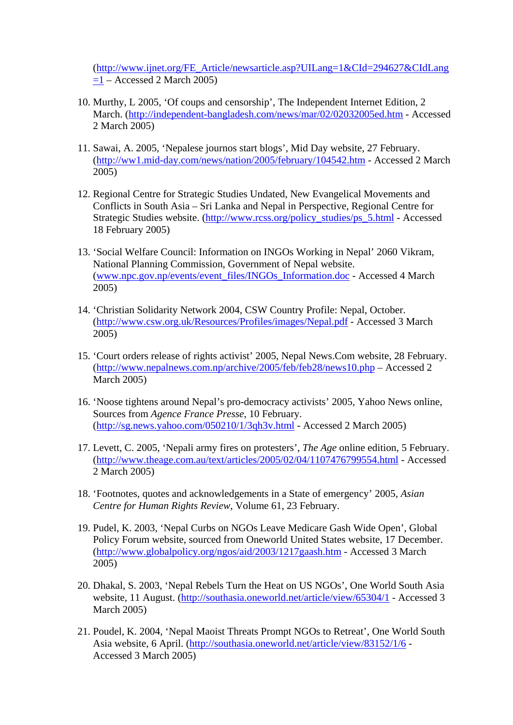(http://www.ijnet.org/FE\_Article/newsarticle.asp?UILang=1&CId=294627&CIdLang  $=1 -$  Accessed 2 March 2005)

- 10. Murthy, L 2005, 'Of coups and censorship', The Independent Internet Edition, 2 March. [\(http://independent-bangladesh.com/news/mar/02/02032005ed.htm](http://independent-bangladesh.com/news/mar/02/02032005ed.htm) - Accessed 2 March 2005)
- 11. Sawai, A. 2005, 'Nepalese journos start blogs', Mid Day website, 27 February. (<http://ww1.mid-day.com/news/nation/2005/february/104542.htm> - Accessed 2 March 2005)
- 12. Regional Centre for Strategic Studies Undated, New Evangelical Movements and Conflicts in South Asia – Sri Lanka and Nepal in Perspective, Regional Centre for Strategic Studies website. ([http://www.rcss.org/policy\\_studies/ps\\_5.html](http://www.rcss.org/policy_studies/ps_5.html) - Accessed 18 February 2005)
- 13. 'Social Welfare Council: Information on INGOs Working in Nepal' 2060 Vikram, National Planning Commission, Government of Nepal website. ([www.npc.gov.np/events/event\\_files/INGOs\\_Information.doc](http://www.npc.gov.np/events/event_files/INGOs_Information.doc) - Accessed 4 March 2005)
- 14. 'Christian Solidarity Network 2004, CSW Country Profile: Nepal, October. (<http://www.csw.org.uk/Resources/Profiles/images/Nepal.pdf>- Accessed 3 March 2005)
- 15. 'Court orders release of rights activist' 2005, Nepal News.Com website, 28 February. (<http://www.nepalnews.com.np/archive/2005/feb/feb28/news10.php> – Accessed 2 March 2005)
- 16. 'Noose tightens around Nepal's pro-democracy activists' 2005, Yahoo News online, Sources from *Agence France Presse*, 10 February. (<http://sg.news.yahoo.com/050210/1/3qh3v.html>- Accessed 2 March 2005)
- 17. Levett, C. 2005, 'Nepali army fires on protesters', *The Age* online edition, 5 February. (<http://www.theage.com.au/text/articles/2005/02/04/1107476799554.html>- Accessed 2 March 2005)
- 18. 'Footnotes, quotes and acknowledgements in a State of emergency' 2005, *Asian Centre for Human Rights Review*, Volume 61, 23 February.
- 19. Pudel, K. 2003, 'Nepal Curbs on NGOs Leave Medicare Gash Wide Open', Global Policy Forum website, sourced from Oneworld United States website, 17 December. (<http://www.globalpolicy.org/ngos/aid/2003/1217gaash.htm> - Accessed 3 March 2005)
- 20. Dhakal, S. 2003, 'Nepal Rebels Turn the Heat on US NGOs', One World South Asia website, 11 August. [\(http://southasia.oneworld.net/article/view/65304/1](http://southasia.oneworld.net/article/view/65304/1) - Accessed 3 March 2005)
- 21. Poudel, K. 2004, 'Nepal Maoist Threats Prompt NGOs to Retreat', One World South Asia website, 6 April. [\(http://southasia.oneworld.net/article/view/83152/1/6](http://southasia.oneworld.net/article/view/83152/1/6) - Accessed 3 March 2005)